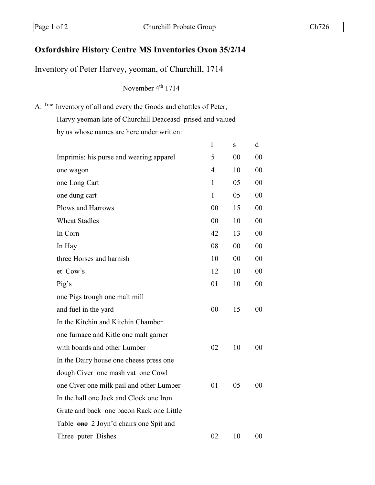## **Oxfordshire History Centre MS Inventories Oxon 35/2/14**

Inventory of Peter Harvey, yeoman, of Churchill, 1714

November 4<sup>th</sup> 1714

A: True Inventory of all and every the Goods and chattles of Peter,

Harvy yeoman late of Churchill Deaceasd prised and valued

by us whose names are here under written:

|                                          | $\mathbf{1}$   | S  | d              |
|------------------------------------------|----------------|----|----------------|
| Imprimis: his purse and wearing apparel  | 5              | 00 | 00             |
| one wagon                                | 4              | 10 | 0 <sub>0</sub> |
| one Long Cart                            | $\mathbf{1}$   | 05 | 0 <sup>0</sup> |
| one dung cart                            | $\mathbf{1}$   | 05 | 0 <sup>0</sup> |
| Plows and Harrows                        | 00             | 15 | 0 <sup>0</sup> |
| <b>Wheat Stadles</b>                     | 0 <sub>0</sub> | 10 | 00             |
| In Corn                                  | 42             | 13 | 0 <sup>0</sup> |
| In Hay                                   | 08             | 00 | 0 <sup>0</sup> |
| three Horses and harnish                 | 10             | 00 | 00             |
| et Cow's                                 | 12             | 10 | 00             |
| Pig's                                    | 01             | 10 | 0 <sup>0</sup> |
| one Pigs trough one malt mill            |                |    |                |
| and fuel in the yard                     | 0 <sup>0</sup> | 15 | 00             |
| In the Kitchin and Kitchin Chamber       |                |    |                |
| one furnace and Kitle one malt garner    |                |    |                |
| with boards and other Lumber             | 02             | 10 | 0 <sub>0</sub> |
| In the Dairy house one cheess press one  |                |    |                |
| dough Civer one mash vat one Cowl        |                |    |                |
| one Civer one milk pail and other Lumber | 01             | 05 | 00             |
| In the hall one Jack and Clock one Iron  |                |    |                |
| Grate and back one bacon Rack one Little |                |    |                |
| Table one 2 Joyn'd chairs one Spit and   |                |    |                |
| Three puter Dishes                       | 02             | 10 | 00             |